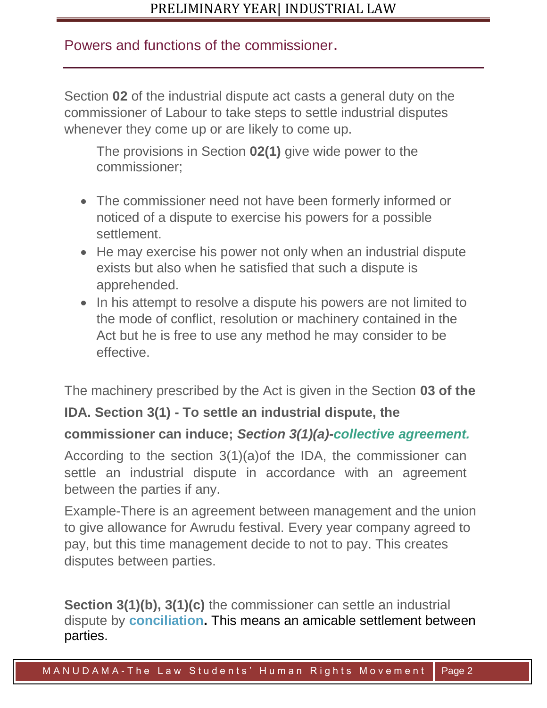## Powers and functions of the commissioner.

Section **02** of the industrial dispute act casts a general duty on the commissioner of Labour to take steps to settle industrial disputes whenever they come up or are likely to come up.

The provisions in Section **02(1)** give wide power to the commissioner;

- The commissioner need not have been formerly informed or noticed of a dispute to exercise his powers for a possible settlement.
- He may exercise his power not only when an industrial dispute exists but also when he satisfied that such a dispute is apprehended.
- In his attempt to resolve a dispute his powers are not limited to the mode of conflict, resolution or machinery contained in the Act but he is free to use any method he may consider to be effective.

The machinery prescribed by the Act is given in the Section **03 of the** 

## **IDA. Section 3(1) - To settle an industrial dispute, the**

## **commissioner can induce;** *Section 3(1)(a)-collective agreement.*

According to the section 3(1)(a)of the IDA, the commissioner can settle an industrial dispute in accordance with an agreement between the parties if any.

Example-There is an agreement between management and the union to give allowance for Awrudu festival. Every year company agreed to pay, but this time management decide to not to pay. This creates disputes between parties.

**Section 3(1)(b), 3(1)(c)** the commissioner can settle an industrial dispute by **conciliation.** This means an amicable settlement between parties.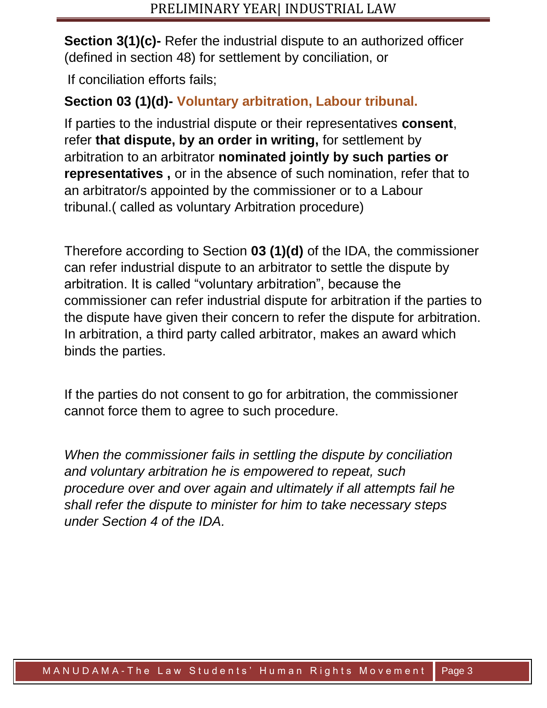**Section 3(1)(c)-** Refer the industrial dispute to an authorized officer (defined in section 48) for settlement by conciliation, or

If conciliation efforts fails;

## **Section 03 (1)(d)- Voluntary arbitration, Labour tribunal.**

If parties to the industrial dispute or their representatives **consent**, refer **that dispute, by an order in writing,** for settlement by arbitration to an arbitrator **nominated jointly by such parties or representatives ,** or in the absence of such nomination, refer that to an arbitrator/s appointed by the commissioner or to a Labour tribunal.( called as voluntary Arbitration procedure)

Therefore according to Section **03 (1)(d)** of the IDA, the commissioner can refer industrial dispute to an arbitrator to settle the dispute by arbitration. It is called "voluntary arbitration", because the commissioner can refer industrial dispute for arbitration if the parties to the dispute have given their concern to refer the dispute for arbitration. In arbitration, a third party called arbitrator, makes an award which binds the parties.

If the parties do not consent to go for arbitration, the commissioner cannot force them to agree to such procedure.

*When the commissioner fails in settling the dispute by conciliation and voluntary arbitration he is empowered to repeat, such procedure over and over again and ultimately if all attempts fail he shall refer the dispute to minister for him to take necessary steps under Section 4 of the IDA.*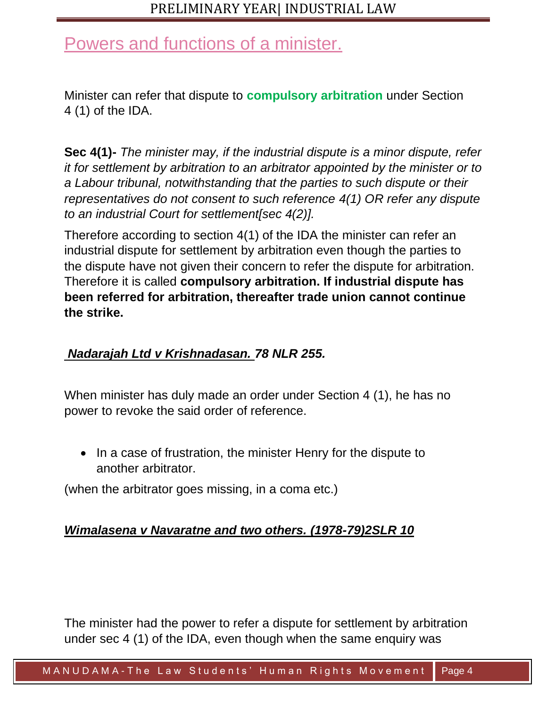# Powers and functions of a minister.

Minister can refer that dispute to **compulsory arbitration** under Section 4 (1) of the IDA.

**Sec 4(1)-** *The minister may, if the industrial dispute is a minor dispute, refer it for settlement by arbitration to an arbitrator appointed by the minister or to a Labour tribunal, notwithstanding that the parties to such dispute or their representatives do not consent to such reference 4(1) OR refer any dispute to an industrial Court for settlement[sec 4(2)].*

Therefore according to section 4(1) of the IDA the minister can refer an industrial dispute for settlement by arbitration even though the parties to the dispute have not given their concern to refer the dispute for arbitration. Therefore it is called **compulsory arbitration. If industrial dispute has been referred for arbitration, thereafter trade union cannot continue the strike.**

#### *Nadarajah Ltd v Krishnadasan. 78 NLR 255.*

When minister has duly made an order under Section 4 (1), he has no power to revoke the said order of reference.

• In a case of frustration, the minister Henry for the dispute to another arbitrator.

(when the arbitrator goes missing, in a coma etc.)

### *Wimalasena v Navaratne and two others. (1978-79)2SLR 10*

The minister had the power to refer a dispute for settlement by arbitration under sec 4 (1) of the IDA, even though when the same enquiry was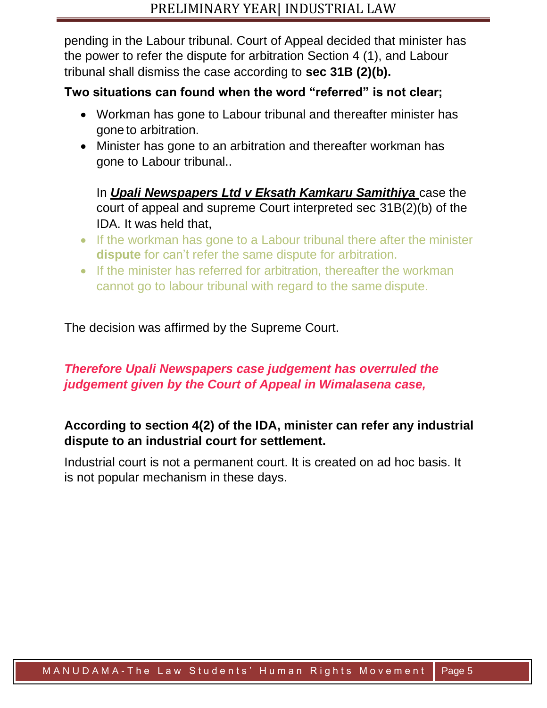pending in the Labour tribunal. Court of Appeal decided that minister has the power to refer the dispute for arbitration Section 4 (1), and Labour tribunal shall dismiss the case according to **sec 31B (2)(b).**

#### **Two situations can found when the word "referred" is not clear;**

- Workman has gone to Labour tribunal and thereafter minister has gone to arbitration.
- Minister has gone to an arbitration and thereafter workman has gone to Labour tribunal..

In *Upali Newspapers Ltd v Eksath Kamkaru Samithiya* case the court of appeal and supreme Court interpreted sec 31B(2)(b) of the IDA. It was held that,

- If the workman has gone to a Labour tribunal there after the minister **dispute** for can't refer the same dispute for arbitration.
- If the minister has referred for arbitration, thereafter the workman cannot go to labour tribunal with regard to the same dispute.

The decision was affirmed by the Supreme Court.

### *Therefore Upali Newspapers case judgement has overruled the judgement given by the Court of Appeal in Wimalasena case,*

### **According to section 4(2) of the IDA, minister can refer any industrial dispute to an industrial court for settlement.**

Industrial court is not a permanent court. It is created on ad hoc basis. It is not popular mechanism in these days.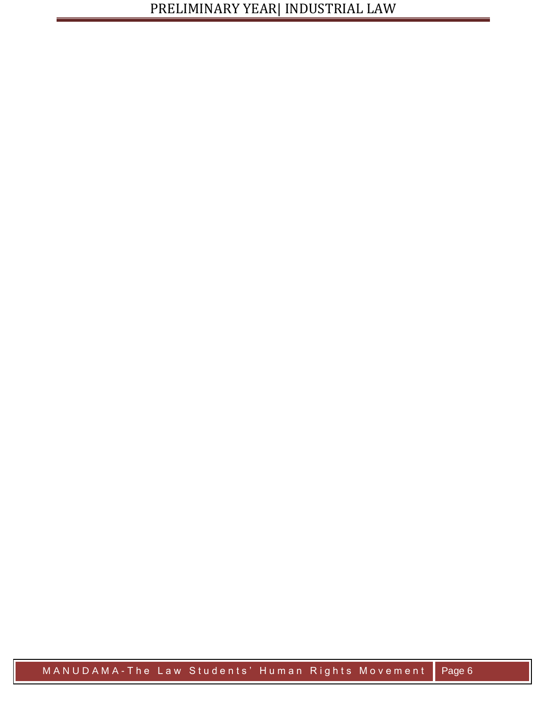MANUDAMA-The Law Students' Human Rights Movement Page 6